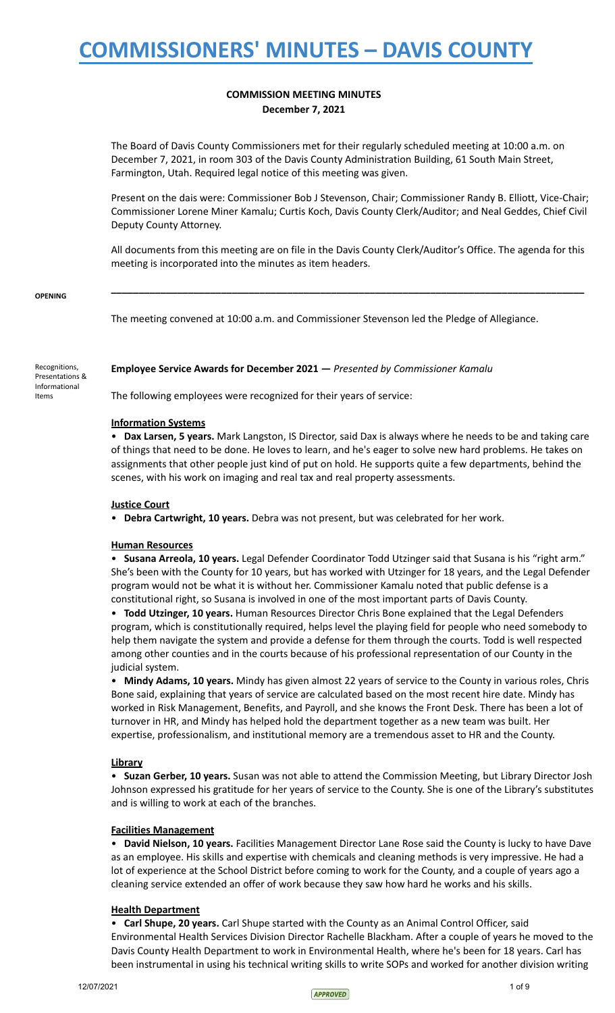## **COMMISSION MEETING MINUTES December 7, 2021**

The Board of Davis County Commissioners met for their regularly scheduled meeting at 10:00 a.m. on December 7, 2021, in room 303 of the Davis County Administration Building, 61 South Main Street, Farmington, Utah. Required legal notice of this meeting was given.

Present on the dais were: Commissioner Bob J Stevenson, Chair; Commissioner Randy B. Elliott, Vice-Chair; Commissioner Lorene Miner Kamalu; Curtis Koch, Davis County Clerk/Auditor; and Neal Geddes, Chief Civil Deputy County Attorney.

All documents from this meeting are on file in the Davis County Clerk/Auditor's Office. The agenda for this meeting is incorporated into the minutes as item headers.

**\_\_\_\_\_\_\_\_\_\_\_\_\_\_\_\_\_\_\_\_\_\_\_\_\_\_\_\_\_\_\_\_\_\_\_\_\_\_\_\_\_\_\_\_\_\_\_\_\_\_\_\_\_\_\_\_\_\_\_\_\_\_\_\_\_\_\_\_\_\_\_\_\_\_\_\_\_\_\_\_\_\_\_\_\_\_**

### **OPENING**

The meeting convened at 10:00 a.m. and Commissioner Stevenson led the Pledge of Allegiance.

Recognitions, Presentations & Informational Items

**Employee Service Awards for December 2021 —** *Presented by Commissioner Kamalu*

The following employees were recognized for their years of service:

### **Information Systems**

• **Dax Larsen, 5 years.** Mark Langston, IS Director, said Dax is always where he needs to be and taking care of things that need to be done. He loves to learn, and he's eager to solve new hard problems. He takes on assignments that other people just kind of put on hold. He supports quite a few departments, behind the scenes, with his work on imaging and real tax and real property assessments.

### **Justice Court**

• **Debra Cartwright, 10 years.** Debra was not present, but was celebrated for her work.

### **Human Resources**

• **Susana Arreola, 10 years.** Legal Defender Coordinator Todd Utzinger said that Susana is his "right arm." She's been with the County for 10 years, but has worked with Utzinger for 18 years, and the Legal Defender program would not be what it is without her. Commissioner Kamalu noted that public defense is a constitutional right, so Susana is involved in one of the most important parts of Davis County.

• **Todd Utzinger, 10 years.** Human Resources Director Chris Bone explained that the Legal Defenders program, which is constitutionally required, helps level the playing field for people who need somebody to help them navigate the system and provide a defense for them through the courts. Todd is well respected among other counties and in the courts because of his professional representation of our County in the judicial system.

• **Mindy Adams, 10 years.** Mindy has given almost 22 years of service to the County in various roles, Chris Bone said, explaining that years of service are calculated based on the most recent hire date. Mindy has worked in Risk Management, Benefits, and Payroll, and she knows the Front Desk. There has been a lot of turnover in HR, and Mindy has helped hold the department together as a new team was built. Her expertise, professionalism, and institutional memory are a tremendous asset to HR and the County.

## **Library**

• **Suzan Gerber, 10 years.** Susan was not able to attend the Commission Meeting, but Library Director Josh Johnson expressed his gratitude for her years of service to the County. She is one of the Library's substitutes and is willing to work at each of the branches.

## **Facilities Management**

• **David Nielson, 10 years.** Facilities Management Director Lane Rose said the County is lucky to have Dave as an employee. His skills and expertise with chemicals and cleaning methods is very impressive. He had a lot of experience at the School District before coming to work for the County, and a couple of years ago a cleaning service extended an offer of work because they saw how hard he works and his skills.

## **Health Department**

• **Carl Shupe, 20 years.** Carl Shupe started with the County as an Animal Control Officer, said Environmental Health Services Division Director Rachelle Blackham. After a couple of years he moved to the Davis County Health Department to work in Environmental Health, where he's been for 18 years. Carl has been instrumental in using his technical writing skills to write SOPs and worked for another division writing

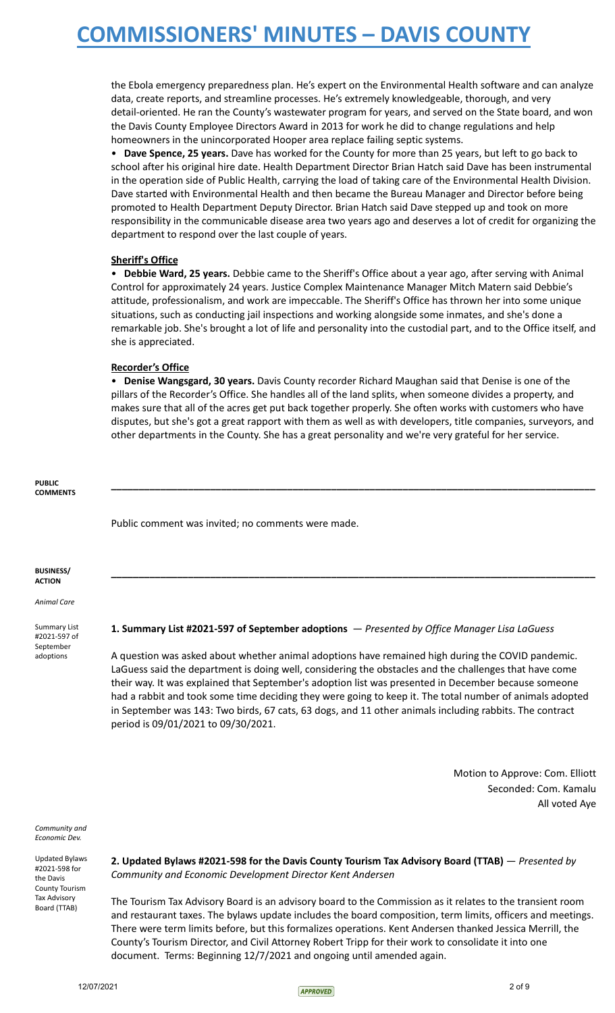the Ebola emergency preparedness plan. He's expert on the Environmental Health software and can analyze data, create reports, and streamline processes. He's extremely knowledgeable, thorough, and very detail-oriented. He ran the County's wastewater program for years, and served on the State board, and won the Davis County Employee Directors Award in 2013 for work he did to change regulations and help homeowners in the unincorporated Hooper area replace failing septic systems.

• **Dave Spence, 25 years.** Dave has worked for the County for more than 25 years, but left to go back to school after his original hire date. Health Department Director Brian Hatch said Dave has been instrumental in the operation side of Public Health, carrying the load of taking care of the Environmental Health Division. Dave started with Environmental Health and then became the Bureau Manager and Director before being promoted to Health Department Deputy Director. Brian Hatch said Dave stepped up and took on more responsibility in the communicable disease area two years ago and deserves a lot of credit for organizing the department to respond over the last couple of years.

### **Sheriff's Office**

• **Debbie Ward, 25 years.** Debbie came to the Sheriff's Office about a year ago, after serving with Animal Control for approximately 24 years. Justice Complex Maintenance Manager Mitch Matern said Debbie's attitude, professionalism, and work are impeccable. The Sheriff's Office has thrown her into some unique situations, such as conducting jail inspections and working alongside some inmates, and she's done a remarkable job. She's brought a lot of life and personality into the custodial part, and to the Office itself, and she is appreciated.

### **Recorder's Office**

• **Denise Wangsgard, 30 years.** Davis County recorder Richard Maughan said that Denise is one of the pillars of the Recorder's Office. She handles all of the land splits, when someone divides a property, and makes sure that all of the acres get put back together properly. She often works with customers who have disputes, but she's got a great rapport with them as well as with developers, title companies, surveyors, and other departments in the County. She has a great personality and we're very grateful for her service.

**\_\_\_\_\_\_\_\_\_\_\_\_\_\_\_\_\_\_\_\_\_\_\_\_\_\_\_\_\_\_\_\_\_\_\_\_\_\_\_\_\_\_\_\_\_\_\_\_\_\_\_\_\_\_\_\_\_\_\_\_\_\_\_\_\_\_\_\_\_\_\_\_\_\_\_\_\_\_\_\_\_\_\_\_\_\_\_\_**

**\_\_\_\_\_\_\_\_\_\_\_\_\_\_\_\_\_\_\_\_\_\_\_\_\_\_\_\_\_\_\_\_\_\_\_\_\_\_\_\_\_\_\_\_\_\_\_\_\_\_\_\_\_\_\_\_\_\_\_\_\_\_\_\_\_\_\_\_\_\_\_\_\_\_\_\_\_\_\_\_\_\_\_\_\_\_\_\_**

**PUBLIC COMMENTS**

Public comment was invited; no comments were made.

**BUSINESS/ ACTION**

*Animal Care*

Summary List #2021-597 of September adoptions

### **1. Summary List #2021-597 of September adoptions** — *Presented by Office Manager Lisa LaGuess*

A question was asked about whether animal adoptions have remained high during the COVID pandemic. LaGuess said the department is doing well, considering the obstacles and the challenges that have come their way. It was explained that September's adoption list was presented in December because someone had a rabbit and took some time deciding they were going to keep it. The total number of animals adopted in September was 143: Two birds, 67 cats, 63 dogs, and 11 other animals including rabbits. The contract period is 09/01/2021 to 09/30/2021.

> Motion to Approve: Com. Elliott Seconded: Com. Kamalu All voted Aye

*Community and Economic Dev.*

Updated Bylaws #2021-598 for the Davis County Tourism Tax Advisory Board (TTAB)

**2. Updated Bylaws #2021-598 for the Davis County Tourism Tax Advisory Board (TTAB)** — *Presented by Community and Economic Development Director Kent Andersen*

The Tourism Tax Advisory Board is an advisory board to the Commission as it relates to the transient room and restaurant taxes. The bylaws update includes the board composition, term limits, officers and meetings. There were term limits before, but this formalizes operations. Kent Andersen thanked Jessica Merrill, the County's Tourism Director, and Civil Attorney Robert Tripp for their work to consolidate it into one document. Terms: Beginning 12/7/2021 and ongoing until amended again.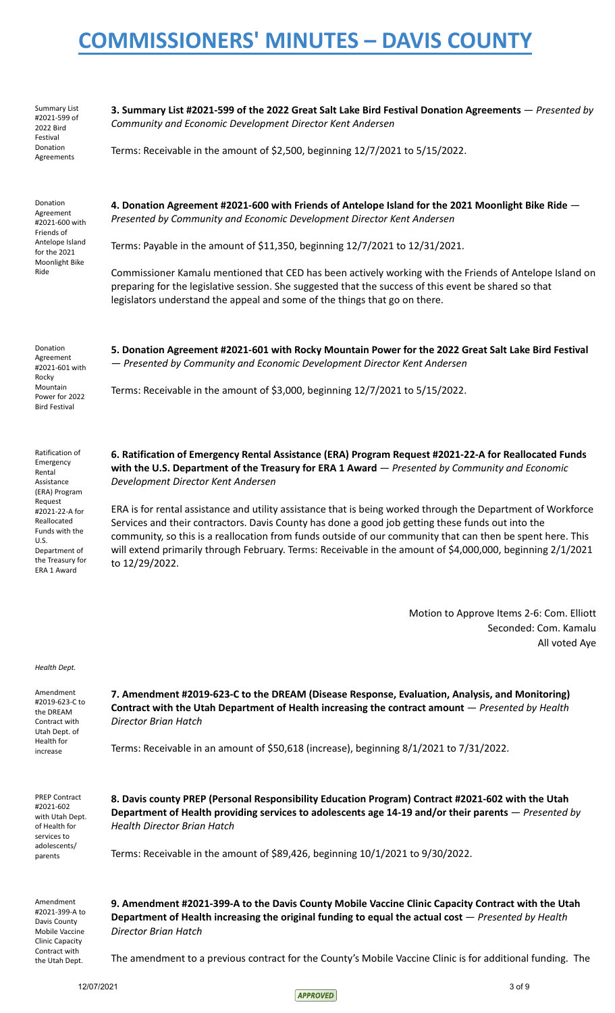Summary List #2021-599 of 2022 Bird Festival Donation Agreements

Donation Agreement #2021-600 with Friends of Antelope Island for the 2021 Moonlight Bike Ride

**3. Summary List #2021-599 of the 2022 Great Salt Lake Bird Festival Donation Agreements** — *Presented by Community and Economic Development Director Kent Andersen*

Terms: Receivable in the amount of \$2,500, beginning 12/7/2021 to 5/15/2022.

**4. Donation Agreement #2021-600 with Friends of Antelope Island for the 2021 Moonlight Bike Ride** — *Presented by Community and Economic Development Director Kent Andersen*

Terms: Payable in the amount of \$11,350, beginning 12/7/2021 to 12/31/2021.

Commissioner Kamalu mentioned that CED has been actively working with the Friends of Antelope Island on preparing for the legislative session. She suggested that the success of this event be shared so that legislators understand the appeal and some of the things that go on there.

Donation Agreement #2021-601 with Rocky Mountain Power for 2022 Bird Festival

Ratification of Emergency Rental Assistance (ERA) Program Request #2021-22-A for Reallocated Funds with the U.S. Department of the Treasury for ERA 1 Award

**5. Donation Agreement #2021-601 with Rocky Mountain Power for the 2022 Great Salt Lake Bird Festival** — *Presented by Community and Economic Development Director Kent Andersen*

Terms: Receivable in the amount of \$3,000, beginning 12/7/2021 to 5/15/2022.

**6. Ratification of Emergency Rental Assistance (ERA) Program Request #2021-22-A for Reallocated Funds with the U.S. Department of the Treasury for ERA 1 Award** — *Presented by Community and Economic Development Director Kent Andersen*

ERA is for rental assistance and utility assistance that is being worked through the Department of Workforce Services and their contractors. Davis County has done a good job getting these funds out into the community, so this is a reallocation from funds outside of our community that can then be spent here. This will extend primarily through February. Terms: Receivable in the amount of \$4,000,000, beginning 2/1/2021 to 12/29/2022.

> Motion to Approve Items 2-6: Com. Elliott Seconded: Com. Kamalu All voted Aye

*Health Dept.*

Amendment #2019-623-C to the DREAM Contract with Utah Dept. of Health for increase

**7. Amendment #2019-623-C to the DREAM (Disease Response, Evaluation, Analysis, and Monitoring) Contract with the Utah Department of Health increasing the contract amount** — *Presented by Health Director Brian Hatch*

Terms: Receivable in an amount of \$50,618 (increase), beginning 8/1/2021 to 7/31/2022.

PREP Contract #2021-602 with Utah Dept. of Health for services to adolescents/ parents

**8. Davis county PREP (Personal Responsibility Education Program) Contract #2021-602 with the Utah Department of Health providing services to adolescents age 14-19 and/or their parents** — *Presented by Health Director Brian Hatch*

Terms: Receivable in the amount of \$89,426, beginning 10/1/2021 to 9/30/2022.

Amendment #2021-399-A to Davis County Mobile Vaccine Clinic Capacity Contract with the Utah Dept.

**9. Amendment #2021-399-A to the Davis County Mobile Vaccine Clinic Capacity Contract with the Utah Department of Health increasing the original funding to equal the actual cost** — *Presented by Health Director Brian Hatch*

The amendment to a previous contract for the County's Mobile Vaccine Clinic is for additional funding. The

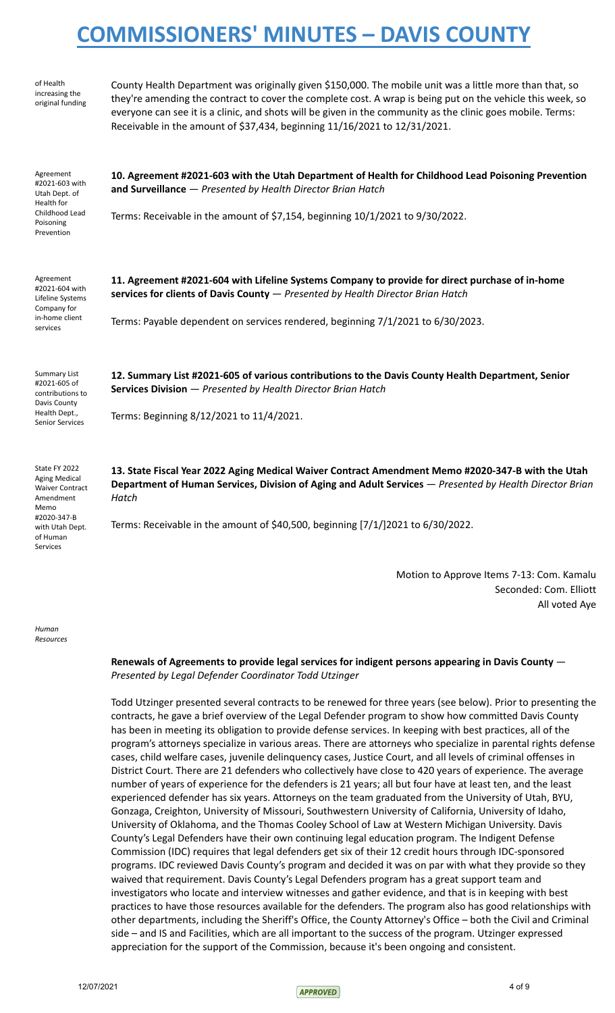| of Health<br>increasing the<br>original funding                                                                                                | County Health Department was originally given \$150,000. The mobile unit was a little more than that, so<br>they're amending the contract to cover the complete cost. A wrap is being put on the vehicle this week, so<br>everyone can see it is a clinic, and shots will be given in the community as the clinic goes mobile. Terms:<br>Receivable in the amount of \$37,434, beginning 11/16/2021 to 12/31/2021. |  |
|------------------------------------------------------------------------------------------------------------------------------------------------|--------------------------------------------------------------------------------------------------------------------------------------------------------------------------------------------------------------------------------------------------------------------------------------------------------------------------------------------------------------------------------------------------------------------|--|
| Agreement<br>#2021-603 with<br>Utah Dept. of<br>Health for<br>Childhood Lead<br>Poisoning<br>Prevention                                        | 10. Agreement #2021-603 with the Utah Department of Health for Childhood Lead Poisoning Prevention<br>and Surveillance - Presented by Health Director Brian Hatch<br>Terms: Receivable in the amount of \$7,154, beginning 10/1/2021 to 9/30/2022.                                                                                                                                                                 |  |
| Agreement<br>#2021-604 with<br>Lifeline Systems<br>Company for<br>in-home client<br>services                                                   | 11. Agreement #2021-604 with Lifeline Systems Company to provide for direct purchase of in-home<br>services for clients of Davis County - Presented by Health Director Brian Hatch<br>Terms: Payable dependent on services rendered, beginning 7/1/2021 to 6/30/2023.                                                                                                                                              |  |
| <b>Summary List</b><br>#2021-605 of<br>contributions to<br>Davis County<br>Health Dept.,<br><b>Senior Services</b>                             | 12. Summary List #2021-605 of various contributions to the Davis County Health Department, Senior<br>Services Division - Presented by Health Director Brian Hatch<br>Terms: Beginning 8/12/2021 to 11/4/2021.                                                                                                                                                                                                      |  |
| State FY 2022<br><b>Aging Medical</b><br><b>Waiver Contract</b><br>Amendment<br>Memo<br>#2020-347-B<br>with Utah Dept.<br>of Human<br>Services | 13. State Fiscal Year 2022 Aging Medical Waiver Contract Amendment Memo #2020-347-B with the Utah<br>Department of Human Services, Division of Aging and Adult Services - Presented by Health Director Brian<br>Hatch<br>Terms: Receivable in the amount of \$40,500, beginning [7/1/]2021 to 6/30/2022.                                                                                                           |  |
|                                                                                                                                                | Motion to Approve Items 7-13: Com. Kamalu                                                                                                                                                                                                                                                                                                                                                                          |  |

*Human Resources*

> **Renewals of Agreements to provide legal services for indigent persons appearing in Davis County** — *Presented by Legal Defender Coordinator Todd Utzinger*

Todd Utzinger presented several contracts to be renewed for three years (see below). Prior to presenting the contracts, he gave a brief overview of the Legal Defender program to show how committed Davis County has been in meeting its obligation to provide defense services. In keeping with best practices, all of the program's attorneys specialize in various areas. There are attorneys who specialize in parental rights defense cases, child welfare cases, juvenile delinquency cases, Justice Court, and all levels of criminal offenses in District Court. There are 21 defenders who collectively have close to 420 years of experience. The average number of years of experience for the defenders is 21 years; all but four have at least ten, and the least experienced defender has six years. Attorneys on the team graduated from the University of Utah, BYU, Gonzaga, Creighton, University of Missouri, Southwestern University of California, University of Idaho, University of Oklahoma, and the Thomas Cooley School of Law at Western Michigan University. Davis County's Legal Defenders have their own continuing legal education program. The Indigent Defense Commission (IDC) requires that legal defenders get six of their 12 credit hours through IDC-sponsored programs. IDC reviewed Davis County's program and decided it was on par with what they provide so they waived that requirement. Davis County's Legal Defenders program has a great support team and investigators who locate and interview witnesses and gather evidence, and that is in keeping with best practices to have those resources available for the defenders. The program also has good relationships with other departments, including the Sheriff's Office, the County Attorney's Office – both the Civil and Criminal side – and IS and Facilities, which are all important to the success of the program. Utzinger expressed appreciation for the support of the Commission, because it's been ongoing and consistent.



Seconded: Com. Elliott

All voted Aye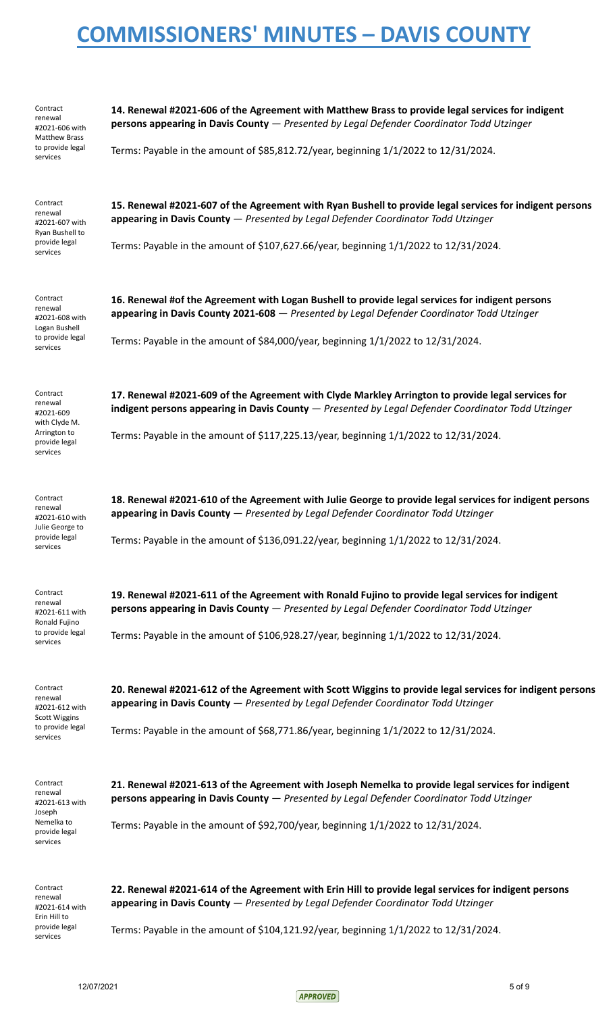| Contract<br>renewal<br>#2021-606 with<br><b>Matthew Brass</b><br>to provide legal<br>services  | 14. Renewal #2021-606 of the Agreement with Matthew Brass to provide legal services for indigent<br>persons appearing in Davis County - Presented by Legal Defender Coordinator Todd Utzinger<br>Terms: Payable in the amount of \$85,812.72/year, beginning 1/1/2022 to 12/31/2024.            |  |
|------------------------------------------------------------------------------------------------|-------------------------------------------------------------------------------------------------------------------------------------------------------------------------------------------------------------------------------------------------------------------------------------------------|--|
| Contract<br>renewal<br>#2021-607 with<br>Ryan Bushell to<br>provide legal<br>services          | 15. Renewal #2021-607 of the Agreement with Ryan Bushell to provide legal services for indigent persons<br>appearing in Davis County - Presented by Legal Defender Coordinator Todd Utzinger<br>Terms: Payable in the amount of \$107,627.66/year, beginning $1/1/2022$ to $12/31/2024$ .       |  |
| Contract<br>renewal<br>#2021-608 with<br>Logan Bushell<br>to provide legal<br>services         | 16. Renewal #of the Agreement with Logan Bushell to provide legal services for indigent persons<br>appearing in Davis County 2021-608 - Presented by Legal Defender Coordinator Todd Utzinger<br>Terms: Payable in the amount of \$84,000/year, beginning 1/1/2022 to 12/31/2024.               |  |
| Contract<br>renewal<br>#2021-609<br>with Clyde M.<br>Arrington to<br>provide legal<br>services | 17. Renewal #2021-609 of the Agreement with Clyde Markley Arrington to provide legal services for<br>indigent persons appearing in Davis County - Presented by Legal Defender Coordinator Todd Utzinger<br>Terms: Payable in the amount of \$117,225.13/year, beginning 1/1/2022 to 12/31/2024. |  |
| Contract<br>renewal<br>#2021-610 with<br>Julie George to<br>provide legal<br>services          | 18. Renewal #2021-610 of the Agreement with Julie George to provide legal services for indigent persons<br>appearing in Davis County - Presented by Legal Defender Coordinator Todd Utzinger<br>Terms: Payable in the amount of \$136,091.22/year, beginning 1/1/2022 to 12/31/2024.            |  |
| Contract<br>renewal<br>#2021-611 with<br>Ronald Fujino<br>to provide legal<br>services         | 19. Renewal #2021-611 of the Agreement with Ronald Fujino to provide legal services for indigent<br>persons appearing in Davis County - Presented by Legal Defender Coordinator Todd Utzinger<br>Terms: Payable in the amount of \$106,928.27/year, beginning 1/1/2022 to 12/31/2024.           |  |
| Contract<br>renewal<br>#2021-612 with<br><b>Scott Wiggins</b><br>to provide legal<br>services  | 20. Renewal #2021-612 of the Agreement with Scott Wiggins to provide legal services for indigent persons<br>appearing in Davis County - Presented by Legal Defender Coordinator Todd Utzinger<br>Terms: Payable in the amount of \$68,771.86/year, beginning 1/1/2022 to 12/31/2024.            |  |
| Contract<br>renewal<br>#2021-613 with<br>Joseph<br>Nemelka to<br>provide legal<br>services     | 21. Renewal #2021-613 of the Agreement with Joseph Nemelka to provide legal services for indigent<br>persons appearing in Davis County - Presented by Legal Defender Coordinator Todd Utzinger<br>Terms: Payable in the amount of \$92,700/year, beginning 1/1/2022 to 12/31/2024.              |  |
| Contract<br>renewal<br>#2021-614 with<br>Erin Hill to<br>provide legal<br>services             | 22. Renewal #2021-614 of the Agreement with Erin Hill to provide legal services for indigent persons<br>appearing in Davis County - Presented by Legal Defender Coordinator Todd Utzinger<br>Terms: Payable in the amount of \$104,121.92/year, beginning 1/1/2022 to 12/31/2024.               |  |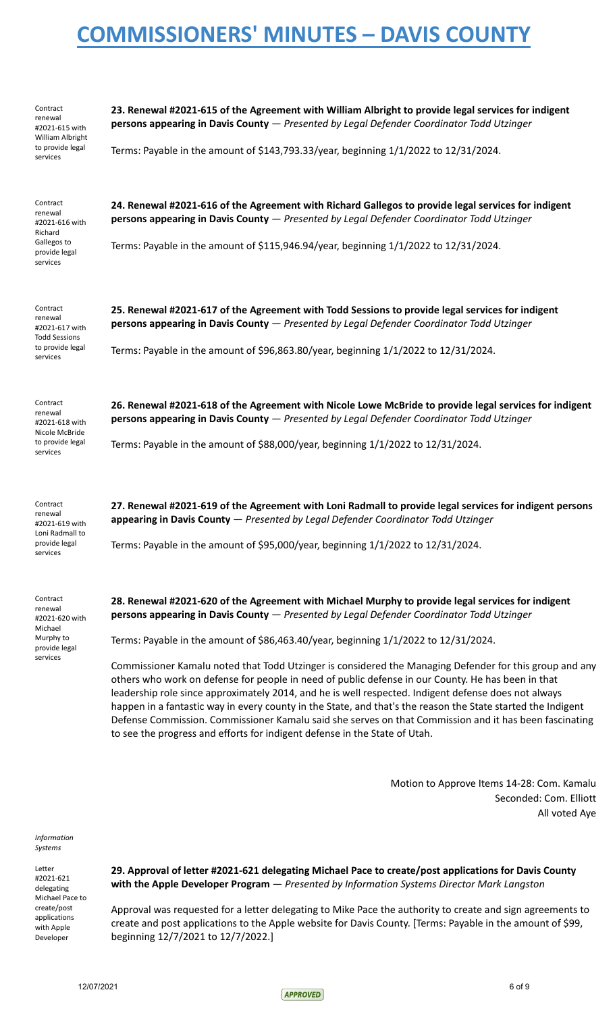| Contract<br>renewal<br>#2021-615 with<br>William Albright<br>to provide legal<br>services     | 23. Renewal #2021-615 of the Agreement with William Albright to provide legal services for indigent<br>persons appearing in Davis County - Presented by Legal Defender Coordinator Todd Utzinger<br>Terms: Payable in the amount of \$143,793.33/year, beginning 1/1/2022 to 12/31/2024.                                                                                                                                                                                                                                                                                                                                                                                                                                                                                                                                                                                                                               |
|-----------------------------------------------------------------------------------------------|------------------------------------------------------------------------------------------------------------------------------------------------------------------------------------------------------------------------------------------------------------------------------------------------------------------------------------------------------------------------------------------------------------------------------------------------------------------------------------------------------------------------------------------------------------------------------------------------------------------------------------------------------------------------------------------------------------------------------------------------------------------------------------------------------------------------------------------------------------------------------------------------------------------------|
| Contract<br>renewal<br>#2021-616 with<br>Richard<br>Gallegos to<br>provide legal<br>services  | 24. Renewal #2021-616 of the Agreement with Richard Gallegos to provide legal services for indigent<br>persons appearing in Davis County - Presented by Legal Defender Coordinator Todd Utzinger<br>Terms: Payable in the amount of \$115,946.94/year, beginning 1/1/2022 to 12/31/2024.                                                                                                                                                                                                                                                                                                                                                                                                                                                                                                                                                                                                                               |
| Contract<br>renewal<br>#2021-617 with<br><b>Todd Sessions</b><br>to provide legal<br>services | 25. Renewal #2021-617 of the Agreement with Todd Sessions to provide legal services for indigent<br>persons appearing in Davis County - Presented by Legal Defender Coordinator Todd Utzinger<br>Terms: Payable in the amount of \$96,863.80/year, beginning 1/1/2022 to 12/31/2024.                                                                                                                                                                                                                                                                                                                                                                                                                                                                                                                                                                                                                                   |
| Contract<br>renewal<br>#2021-618 with<br>Nicole McBride<br>to provide legal<br>services       | 26. Renewal #2021-618 of the Agreement with Nicole Lowe McBride to provide legal services for indigent<br>persons appearing in Davis County - Presented by Legal Defender Coordinator Todd Utzinger<br>Terms: Payable in the amount of \$88,000/year, beginning 1/1/2022 to 12/31/2024.                                                                                                                                                                                                                                                                                                                                                                                                                                                                                                                                                                                                                                |
| Contract<br>renewal<br>#2021-619 with<br>Loni Radmall to<br>provide legal<br>services         | 27. Renewal #2021-619 of the Agreement with Loni Radmall to provide legal services for indigent persons<br>appearing in Davis County - Presented by Legal Defender Coordinator Todd Utzinger<br>Terms: Payable in the amount of \$95,000/year, beginning 1/1/2022 to 12/31/2024.                                                                                                                                                                                                                                                                                                                                                                                                                                                                                                                                                                                                                                       |
| Contract<br>renewal<br>#2021-620 with<br>Michael<br>Murphy to<br>provide legal<br>services    | 28. Renewal #2021-620 of the Agreement with Michael Murphy to provide legal services for indigent<br>persons appearing in Davis County - Presented by Legal Defender Coordinator Todd Utzinger<br>Terms: Payable in the amount of \$86,463.40/year, beginning 1/1/2022 to 12/31/2024.<br>Commissioner Kamalu noted that Todd Utzinger is considered the Managing Defender for this group and any<br>others who work on defense for people in need of public defense in our County. He has been in that<br>leadership role since approximately 2014, and he is well respected. Indigent defense does not always<br>happen in a fantastic way in every county in the State, and that's the reason the State started the Indigent<br>Defense Commission. Commissioner Kamalu said she serves on that Commission and it has been fascinating<br>to see the progress and efforts for indigent defense in the State of Utah. |
|                                                                                               | Motion to Approve Items 14-28: Com. Kamalu<br>Seconded: Com. Elliott<br>All voted Aye                                                                                                                                                                                                                                                                                                                                                                                                                                                                                                                                                                                                                                                                                                                                                                                                                                  |

*Information Systems*

Letter #2021-621 delegating Michael Pace to create/post applications with Apple Developer

**29. Approval of letter #2021-621 delegating Michael Pace to create/post applications for Davis County with the Apple Developer Program** — *Presented by Information Systems Director Mark Langston*

Approval was requested for a letter delegating to Mike Pace the authority to create and sign agreements to create and post applications to the Apple website for Davis County. [Terms: Payable in the amount of \$99, beginning 12/7/2021 to 12/7/2022.]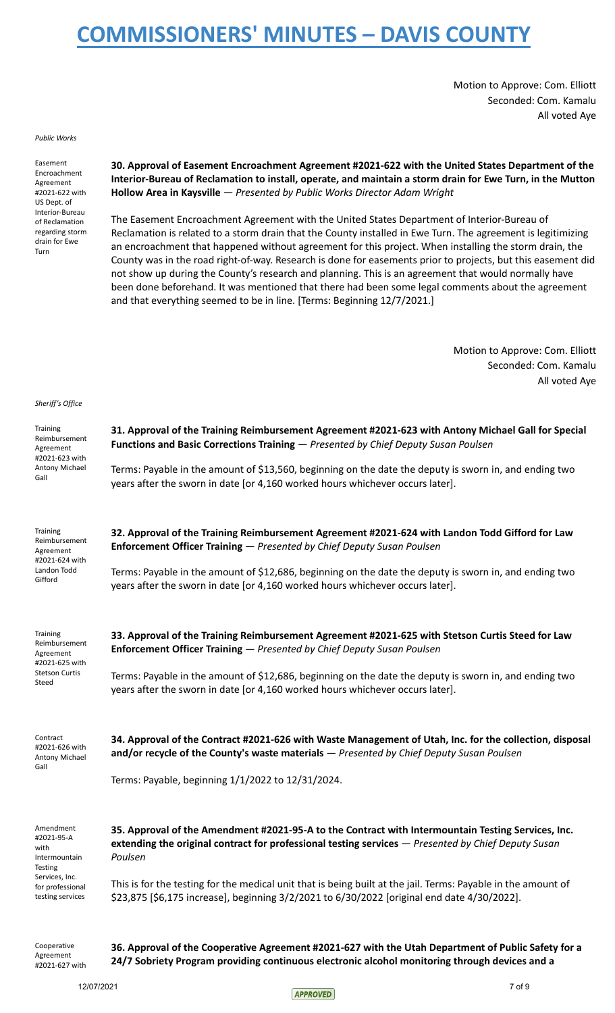Motion to Approve: Com. Elliott Seconded: Com. Kamalu All voted Aye

*Public Works*

Easement Encroachment Agreement #2021-622 with US Dept. of Interior-Bureau of Reclamation regarding storm drain for Ewe Turn

**30. Approval of Easement Encroachment Agreement #2021-622 with the United States Department of the Interior-Bureau of Reclamation to install, operate, and maintain a storm drain for Ewe Turn, in the Mutton Hollow Area in Kaysville** *— Presented by Public Works Director Adam Wright*

The Easement Encroachment Agreement with the United States Department of Interior-Bureau of Reclamation is related to a storm drain that the County installed in Ewe Turn. The agreement is legitimizing an encroachment that happened without agreement for this project. When installing the storm drain, the County was in the road right-of-way. Research is done for easements prior to projects, but this easement did not show up during the County's research and planning. This is an agreement that would normally have been done beforehand. It was mentioned that there had been some legal comments about the agreement and that everything seemed to be in line. [Terms: Beginning 12/7/2021.]

> Motion to Approve: Com. Elliott Seconded: Com. Kamalu All voted Aye

#### *Sheriff's Office*

| Training<br>Reimbursement<br>Agreement<br>#2021-623 with<br>Antony Michael<br>Gall                | 31. Approval of the Training Reimbursement Agreement #2021-623 with Antony Michael Gall for Special<br>Functions and Basic Corrections Training - Presented by Chief Deputy Susan Poulsen                            |  |  |
|---------------------------------------------------------------------------------------------------|----------------------------------------------------------------------------------------------------------------------------------------------------------------------------------------------------------------------|--|--|
|                                                                                                   | Terms: Payable in the amount of \$13,560, beginning on the date the deputy is sworn in, and ending two<br>years after the sworn in date [or 4,160 worked hours whichever occurs later].                              |  |  |
| <b>Training</b><br>Reimbursement<br>Agreement<br>#2021-624 with<br>Landon Todd<br>Gifford         | 32. Approval of the Training Reimbursement Agreement #2021-624 with Landon Todd Gifford for Law<br>Enforcement Officer Training - Presented by Chief Deputy Susan Poulsen                                            |  |  |
|                                                                                                   | Terms: Payable in the amount of \$12,686, beginning on the date the deputy is sworn in, and ending two<br>years after the sworn in date [or 4,160 worked hours whichever occurs later].                              |  |  |
| <b>Training</b><br>Reimbursement<br>Agreement<br>#2021-625 with<br><b>Stetson Curtis</b><br>Steed | 33. Approval of the Training Reimbursement Agreement #2021-625 with Stetson Curtis Steed for Law<br>Enforcement Officer Training - Presented by Chief Deputy Susan Poulsen                                           |  |  |
|                                                                                                   | Terms: Payable in the amount of \$12,686, beginning on the date the deputy is sworn in, and ending two<br>years after the sworn in date [or 4,160 worked hours whichever occurs later].                              |  |  |
| Contract<br>#2021-626 with<br>Antony Michael<br>Gall                                              | 34. Approval of the Contract #2021-626 with Waste Management of Utah, Inc. for the collection, disposal<br>and/or recycle of the County's waste materials - Presented by Chief Deputy Susan Poulsen                  |  |  |
|                                                                                                   | Terms: Payable, beginning 1/1/2022 to 12/31/2024.                                                                                                                                                                    |  |  |
| Amendment<br>#2021-95-A<br>with<br>Intermountain<br>Testing                                       | 35. Approval of the Amendment #2021-95-A to the Contract with Intermountain Testing Services, Inc.<br>extending the original contract for professional testing services - Presented by Chief Deputy Susan<br>Poulsen |  |  |
| Services, Inc.<br>for professional<br>testing services                                            | This is for the testing for the medical unit that is being built at the jail. Terms: Payable in the amount of<br>\$23,875 [\$6,175 increase], beginning 3/2/2021 to 6/30/2022 [original end date 4/30/2022].         |  |  |
| Cooperative                                                                                       | 36. Approval of the Cooperative Agreement #2021-627 with the Utah Department of Public Safety for a                                                                                                                  |  |  |

#2021-627 with

Agreement

**24/7 Sobriety Program providing continuous electronic alcohol monitoring through devices and a**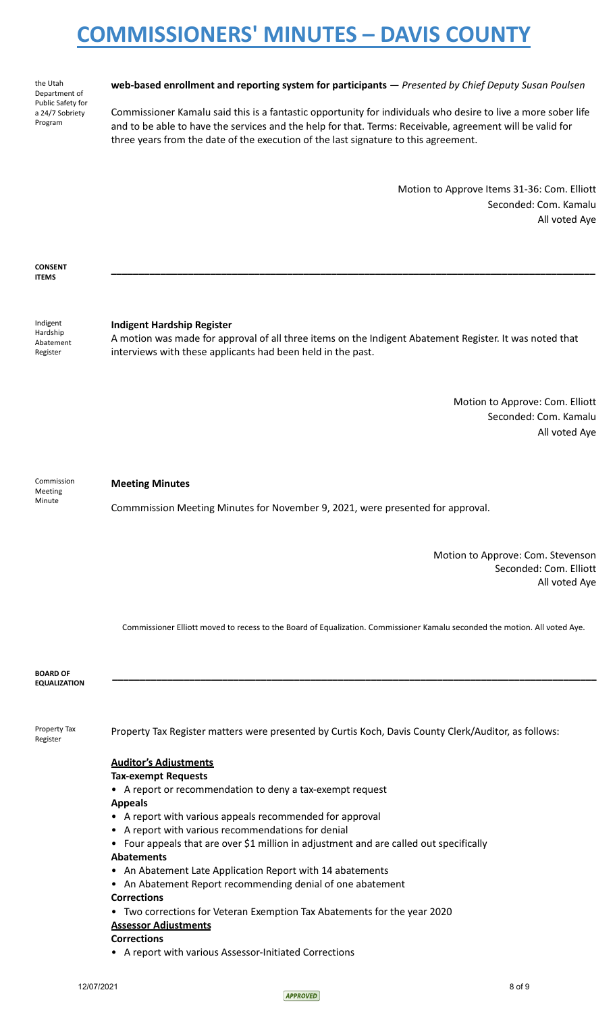the Utah Department of Public Safety for a 24/7 Sobriety Program

### **web-based enrollment and reporting system for participants** *— Presented by Chief Deputy Susan Poulsen*

Commissioner Kamalu said this is a fantastic opportunity for individuals who desire to live a more sober life and to be able to have the services and the help for that. Terms: Receivable, agreement will be valid for three years from the date of the execution of the last signature to this agreement.

> Motion to Approve Items 31-36: Com. Elliott Seconded: Com. Kamalu All voted Aye

**CONSENT ITEMS**

Indigent Hardship Abatement Register

### **Indigent Hardship Register**

A motion was made for approval of all three items on the Indigent Abatement Register. It was noted that interviews with these applicants had been held in the past.

**\_\_\_\_\_\_\_\_\_\_\_\_\_\_\_\_\_\_\_\_\_\_\_\_\_\_\_\_\_\_\_\_\_\_\_\_\_\_\_\_\_\_\_\_\_\_\_\_\_\_\_\_\_\_\_\_\_\_\_\_\_\_\_\_\_\_\_\_\_\_\_\_\_\_\_\_\_\_\_\_\_\_\_\_\_\_\_\_**

Motion to Approve: Com. Elliott Seconded: Com. Kamalu All voted Aye

Commission Meeting Minute

### **Meeting Minutes**

Commmission Meeting Minutes for November 9, 2021, were presented for approval.

Motion to Approve: Com. Stevenson Seconded: Com. Elliott All voted Aye

Commissioner Elliott moved to recess to the Board of Equalization. Commissioner Kamalu seconded the motion. All voted Aye.

**\_\_\_\_\_\_\_\_\_\_\_\_\_\_\_\_\_\_\_\_\_\_\_\_\_\_\_\_\_\_\_\_\_\_\_\_\_\_\_\_\_\_\_\_\_\_\_\_\_\_\_\_\_\_\_\_\_\_\_\_\_\_\_\_\_\_\_\_\_\_\_\_\_\_\_\_\_\_\_\_\_\_\_\_\_\_\_\_**

**BOARD OF EQUALIZATION**

Register

Property Tax Property Tax Register matters were presented by Curtis Koch, Davis County Clerk/Auditor, as follows:

## **Auditor's Adjustments**

### **Tax-exempt Requests**

• A report or recommendation to deny a tax-exempt request

**Appeals**

- A report with various appeals recommended for approval
- A report with various recommendations for denial
- Four appeals that are over \$1 million in adjustment and are called out specifically

### **Abatements**

- An Abatement Late Application Report with 14 abatements
- An Abatement Report recommending denial of one abatement
- **Corrections**
- Two corrections for Veteran Exemption Tax Abatements for the year 2020

## **Assessor Adjustments**

## **Corrections**

• A report with various Assessor-Initiated Corrections